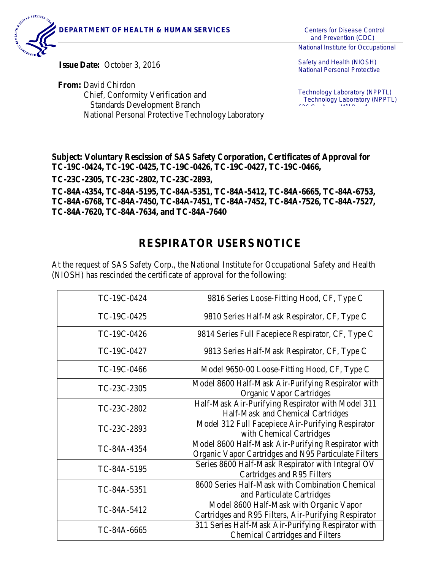

and Prevention (CDC)

National Institute for Occupational

**Issue Date:** October 3, 2016

**From:** David Chirdon Chief, Conformity Verification and Standards Development Branch National Personal Protective TechnologyLaboratory Safety and Health (NIOSH) National Personal Protective

Technology Laboratory (NPPTL) Technology Laboratory (NPPTL)  $\mathcal{L}(\mathcal{L}(\mathcal{L}(\mathcal{L}(\mathcal{L}(\mathcal{L}(\mathcal{L}(\mathcal{L}(\mathcal{L}(\mathcal{L}(\mathcal{L}(\mathcal{L}(\mathcal{L}(\mathcal{L}(\mathcal{L}(\mathcal{L}(\mathcal{L}(\mathcal{L}(\mathcal{L}(\mathcal{L}(\mathcal{L}(\mathcal{L}(\mathcal{L}(\mathcal{L}(\mathcal{L}(\mathcal{L}(\mathcal{L}(\mathcal{L}(\mathcal{L}(\mathcal{L}(\mathcal{L}(\mathcal{L}(\mathcal{L}(\mathcal{L}(\mathcal{L}(\mathcal{L}(\mathcal{$ 

**Subject: Voluntary Rescission of SAS Safety Corporation, Certificates of Approval for TC-19C-0424, TC-19C-0425, TC-19C-0426, TC-19C-0427, TC-19C-0466,** 

**TC-23C-2305, TC-23C-2802, TC-23C-2893,** 

**TC-84A-4354, TC-84A-5195, TC-84A-5351, TC-84A-5412, TC-84A-6665, TC-84A-6753, TC-84A-6768, TC-84A-7450, TC-84A-7451, TC-84A-7452, TC-84A-7526, TC-84A-7527, TC-84A-7620, TC-84A-7634, and TC-84A-7640**

## **RESPIRATOR USERS NOTICE**

At the request of SAS Safety Corp., the National Institute for Occupational Safety and Health (NIOSH) has rescinded the certificate of approval for the following:

| TC-19C-0424 | 9816 Series Loose-Fitting Hood, CF, Type C                                                                 |
|-------------|------------------------------------------------------------------------------------------------------------|
| TC-19C-0425 | 9810 Series Half-Mask Respirator, CF, Type C                                                               |
| TC-19C-0426 | 9814 Series Full Facepiece Respirator, CF, Type C                                                          |
| TC-19C-0427 | 9813 Series Half-Mask Respirator, CF, Type C                                                               |
| TC-19C-0466 | Model 9650-00 Loose-Fitting Hood, CF, Type C                                                               |
| TC-23C-2305 | Model 8600 Half-Mask Air-Purifying Respirator with<br><b>Organic Vapor Cartridges</b>                      |
| TC-23C-2802 | Half-Mask Air-Purifying Respirator with Model 311<br>Half-Mask and Chemical Cartridges                     |
| TC-23C-2893 | Model 312 Full Facepiece Air-Purifying Respirator<br>with Chemical Cartridges                              |
| TC-84A-4354 | Model 8600 Half-Mask Air-Purifying Respirator with<br>Organic Vapor Cartridges and N95 Particulate Filters |
| TC-84A-5195 | Series 8600 Half-Mask Respirator with Integral OV<br>Cartridges and R95 Filters                            |
| TC-84A-5351 | 8600 Series Half-Mask with Combination Chemical<br>and Particulate Cartridges                              |
| TC-84A-5412 | Model 8600 Half-Mask with Organic Vapor<br>Cartridges and R95 Filters, Air-Purifying Respirator            |
| TC-84A-6665 | 311 Series Half-Mask Air-Purifying Respirator with<br><b>Chemical Cartridges and Filters</b>               |